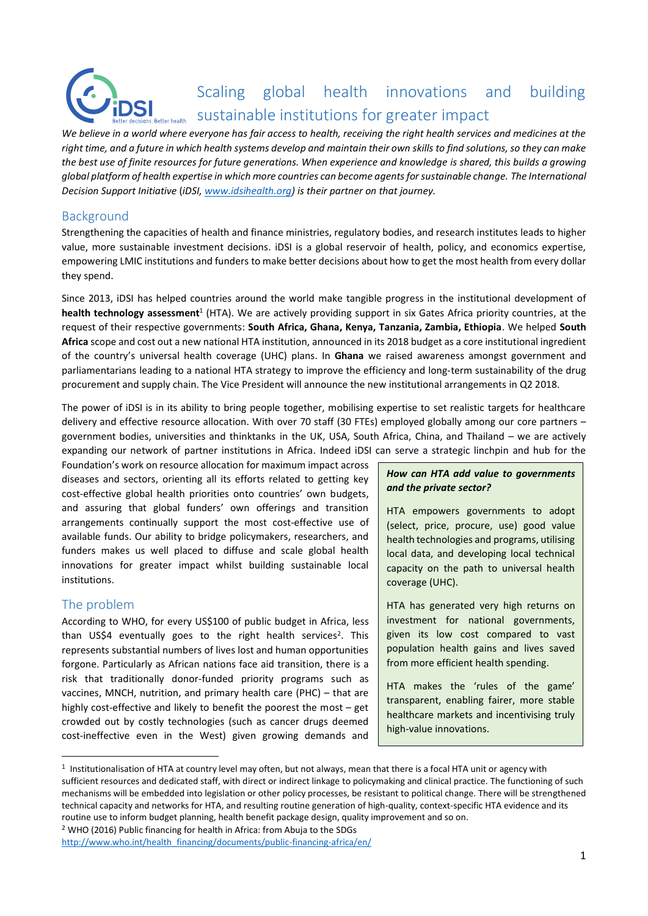

# Scaling global health innovations and building sustainable institutions for greater impact

*We believe in a world where everyone has fair access to health, receiving the right health services and medicines at the right time, and a future in which health systems develop and maintain their own skills to find solutions, so they can make the best use of finite resources for future generations. When experience and knowledge is shared, this builds a growing global platform of health expertise in which more countries can become agents for sustainable change. The International Decision Support Initiative* (*iDSI, [www.idsihealth.org\)](http://www.idsihealth.org/) is their partner on that journey.* 

## Background

Strengthening the capacities of health and finance ministries, regulatory bodies, and research institutes leads to higher value, more sustainable investment decisions. iDSI is a global reservoir of health, policy, and economics expertise, empowering LMIC institutions and funders to make better decisions about how to get the most health from every dollar they spend.

Since 2013, iDSI has helped countries around the world make tangible progress in the institutional development of health technology assessment<sup>1</sup> (HTA). We are actively providing support in six Gates Africa priority countries, at the request of their respective governments: **South Africa, Ghana, Kenya, Tanzania, Zambia, Ethiopia**. We helped **South Africa** scope and cost out a new national HTA institution, announced in its 2018 budget as a core institutional ingredient of the country's universal health coverage (UHC) plans. In **Ghana** we raised awareness amongst government and parliamentarians leading to a national HTA strategy to improve the efficiency and long-term sustainability of the drug procurement and supply chain. The Vice President will announce the new institutional arrangements in Q2 2018.

The power of iDSI is in its ability to bring people together, mobilising expertise to set realistic targets for healthcare delivery and effective resource allocation. With over 70 staff (30 FTEs) employed globally among our core partners – government bodies, universities and thinktanks in the UK, USA, South Africa, China, and Thailand – we are actively expanding our network of partner institutions in Africa. Indeed iDSI can serve a strategic linchpin and hub for the

Foundation's work on resource allocation for maximum impact across diseases and sectors, orienting all its efforts related to getting key cost-effective global health priorities onto countries' own budgets, and assuring that global funders' own offerings and transition arrangements continually support the most cost-effective use of available funds. Our ability to bridge policymakers, researchers, and funders makes us well placed to diffuse and scale global health innovations for greater impact whilst building sustainable local institutions.

## The problem

 $\overline{a}$ 

According to WHO, for every US\$100 of public budget in Africa, less than US\$4 eventually goes to the right health services<sup>2</sup>. This represents substantial numbers of lives lost and human opportunities forgone. Particularly as African nations face aid transition, there is a risk that traditionally donor-funded priority programs such as vaccines, MNCH, nutrition, and primary health care (PHC) – that are highly cost-effective and likely to benefit the poorest the most – get crowded out by costly technologies (such as cancer drugs deemed cost-ineffective even in the West) given growing demands and

#### *How can HTA add value to governments and the private sector?*

HTA empowers governments to adopt (select, price, procure, use) good value health technologies and programs, utilising local data, and developing local technical capacity on the path to universal health coverage (UHC).

HTA has generated very high returns on investment for national governments, given its low cost compared to vast population health gains and lives saved from more efficient health spending.

HTA makes the 'rules of the game' transparent, enabling fairer, more stable healthcare markets and incentivising truly high-value innovations.

<sup>2</sup> WHO (2016) Public financing for health in Africa: from Abuja to the SDGs

 $1$  Institutionalisation of HTA at country level may often, but not always, mean that there is a focal HTA unit or agency with sufficient resources and dedicated staff, with direct or indirect linkage to policymaking and clinical practice. The functioning of such mechanisms will be embedded into legislation or other policy processes, be resistant to political change. There will be strengthened technical capacity and networks for HTA, and resulting routine generation of high-quality, context-specific HTA evidence and its routine use to inform budget planning, health benefit package design, quality improvement and so on.

[http://www.who.int/health\\_financing/documents/public-financing-africa/en/](http://www.who.int/health_financing/documents/public-financing-africa/en/)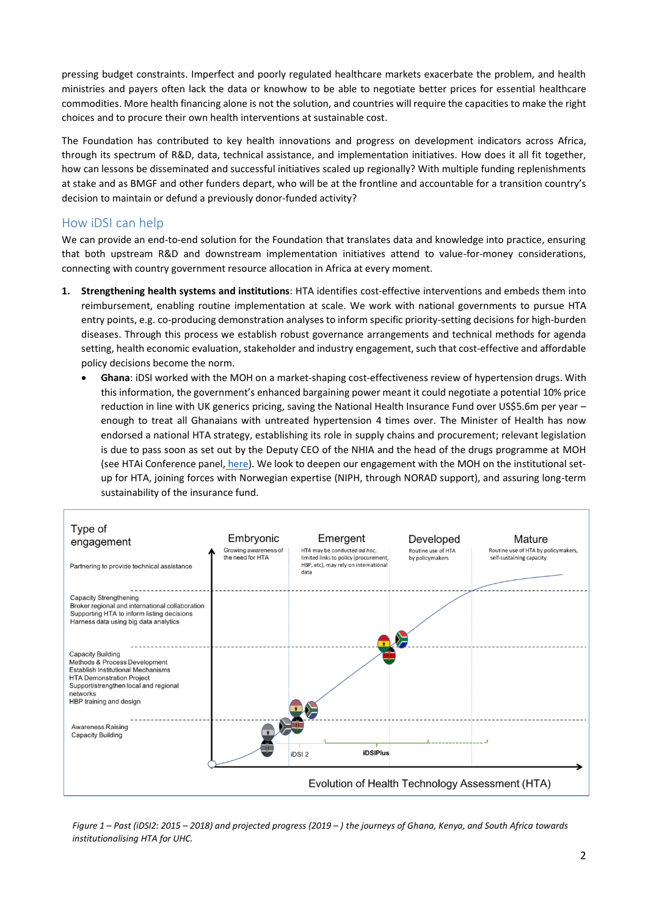pressing budget constraints. Imperfect and poorly regulated healthcare markets exacerbate the problem, and health ministries and payers often lack the data or knowhow to be able to negotiate better prices for essential healthcare commodities. More health financing alone is not the solution, and countries will require the capacities to make the right choices and to procure their own health interventions at sustainable cost.

The Foundation has contributed to key health innovations and progress on development indicators across Africa, through its spectrum of R&D, data, technical assistance, and implementation initiatives. How does it all fit together, how can lessons be disseminated and successful initiatives scaled up regionally? With multiple funding replenishments at stake and as BMGF and other funders depart, who will be at the frontline and accountable for a transition country's decision to maintain or defund a previously donor-funded activity?

## How iDSI can help

We can provide an end-to-end solution for the Foundation that translates data and knowledge into practice, ensuring that both upstream R&D and downstream implementation initiatives attend to value-for-money considerations, connecting with country government resource allocation in Africa at every moment.

- **1. Strengthening health systems and institutions**: HTA identifies cost-effective interventions and embeds them into reimbursement, enabling routine implementation at scale. We work with national governments to pursue HTA entry points, e.g. co-producing demonstration analyses to inform specific priority-setting decisions for high-burden diseases. Through this process we establish robust governance arrangements and technical methods for agenda setting, health economic evaluation, stakeholder and industry engagement, such that cost-effective and affordable policy decisions become the norm.
	- **Ghana**: iDSI worked with the MOH on a market-shaping cost-effectiveness review of hypertension drugs. With this information, the government's enhanced bargaining power meant it could negotiate a potential 10% price reduction in line with UK generics pricing, saving the National Health Insurance Fund over US\$5.6m per year – enough to treat all Ghanaians with untreated hypertension 4 times over. The Minister of Health has now endorsed a national HTA strategy, establishing its role in supply chains and procurement; relevant legislation is due to pass soon as set out by the Deputy CEO of the NHIA and the head of the drugs programme at MOH (see HTAi Conference panel, [here\)](https://www.dropbox.com/s/jd39fplrhtlntnq/HTAi%202018%20Ghana%20panel%20-%20final%20slideset%205%20june.pptx?dl=0). We look to deepen our engagement with the MOH on the institutional setup for HTA, joining forces with Norwegian expertise (NIPH, through NORAD support), and assuring long-term sustainability of the insurance fund.



*Figure 1 – Past (iDSI2: 2015 – 2018) and projected progress (2019 – ) the journeys of Ghana, Kenya, and South Africa towards institutionalising HTA for UHC.*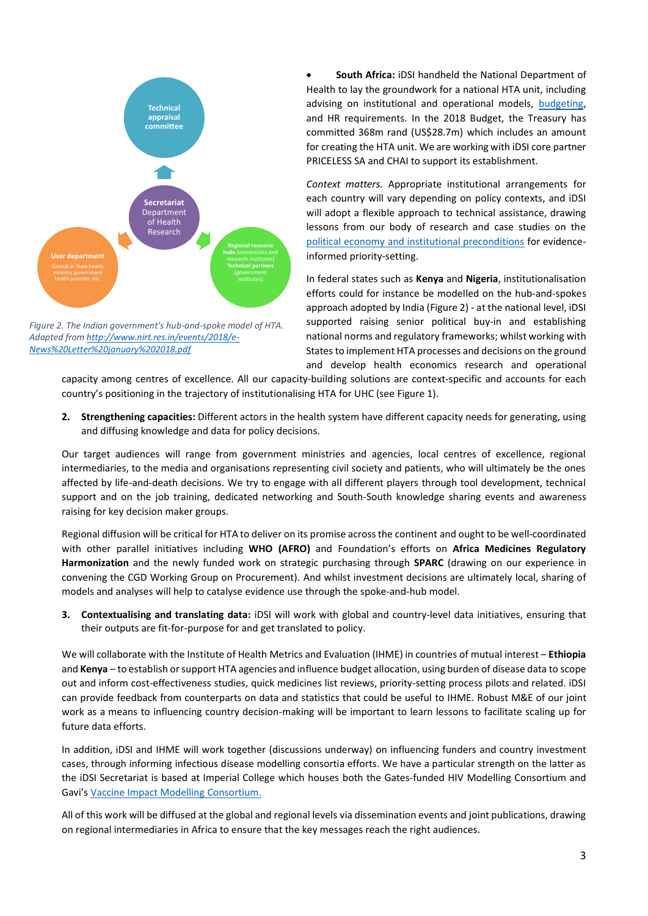

*Figure 2. The Indian government's hub-and-spoke model of HTA. Adapted from [http://www.nirt.res.in/events/2018/e-](http://www.nirt.res.in/events/2018/e-News%20Letter%20january%202018.pdf)[News%20Letter%20january%202018.pdf](http://www.nirt.res.in/events/2018/e-News%20Letter%20january%202018.pdf)*

• **South Africa:** iDSI handheld the National Department of Health to lay the groundwork for a national HTA unit, including advising on institutional and operational models, [budgeting,](https://www.dropbox.com/s/g2re1bkbxvvb0ht/Copy%20of%20HTA%20proposal%20budget%20v3.1%20-%20not%20submitted.xlsx?dl=0) and HR requirements. In the 2018 Budget, the Treasury has committed 368m rand (US\$28.7m) which includes an amount for creating the HTA unit. We are working with iDSI core partner PRICELESS SA and CHAI to support its establishment.

*Context matters.* Appropriate institutional arrangements for each country will vary depending on policy contexts, and iDSI will adopt a flexible approach to technical assistance, drawing lessons from our body of research and case studies on the [political economy and institutional preconditions](https://www.dropbox.com/sh/ieb1bivl7y87bvn/AADR17WMkSGc_z9EV9gOziiNa?dl=0) for evidenceinformed priority-setting.

In federal states such as **Kenya** and **Nigeria**, institutionalisation efforts could for instance be modelled on the hub-and-spokes approach adopted by India (Figure 2) - at the national level, iDSI supported raising senior political buy-in and establishing national norms and regulatory frameworks; whilst working with States to implement HTA processes and decisions on the ground and develop health economics research and operational

capacity among centres of excellence. All our capacity-building solutions are context-specific and accounts for each country's positioning in the trajectory of institutionalising HTA for UHC (see Figure 1).

**2. Strengthening capacities:** Different actors in the health system have different capacity needs for generating, using and diffusing knowledge and data for policy decisions.

Our target audiences will range from government ministries and agencies, local centres of excellence, regional intermediaries, to the media and organisations representing civil society and patients, who will ultimately be the ones affected by life-and-death decisions. We try to engage with all different players through tool development, technical support and on the job training, dedicated networking and South-South knowledge sharing events and awareness raising for key decision maker groups.

Regional diffusion will be critical for HTA to deliver on its promise across the continent and ought to be well-coordinated with other parallel initiatives including **WHO (AFRO)** and Foundation's efforts on **Africa Medicines Regulatory Harmonization** and the newly funded work on strategic purchasing through **SPARC** (drawing on our experience in convening the CGD Working Group on Procurement). And whilst investment decisions are ultimately local, sharing of models and analyses will help to catalyse evidence use through the spoke-and-hub model.

**3. Contextualising and translating data:** iDSI will work with global and country-level data initiatives, ensuring that their outputs are fit-for-purpose for and get translated to policy.

We will collaborate with the Institute of Health Metrics and Evaluation (IHME) in countries of mutual interest – **Ethiopia**  and **Kenya** – to establish or support HTA agencies and influence budget allocation, using burden of disease data to scope out and inform cost-effectiveness studies, quick medicines list reviews, priority-setting process pilots and related. iDSI can provide feedback from counterparts on data and statistics that could be useful to IHME. Robust M&E of our joint work as a means to influencing country decision-making will be important to learn lessons to facilitate scaling up for future data efforts.

In addition, iDSI and IHME will work together (discussions underway) on influencing funders and country investment cases, through informing infectious disease modelling consortia efforts. We have a particular strength on the latter as the iDSI Secretariat is based at Imperial College which houses both the Gates-funded HIV Modelling Consortium and Gavi's [Vaccine Impact Modelling Consortium.](http://www.imperial.ac.uk/school-public-health/infectious-disease-epidemiology/themes/vaccine-and-intervention-research/vimc/)

All of this work will be diffused at the global and regional levels via dissemination events and joint publications, drawing on regional intermediaries in Africa to ensure that the key messages reach the right audiences.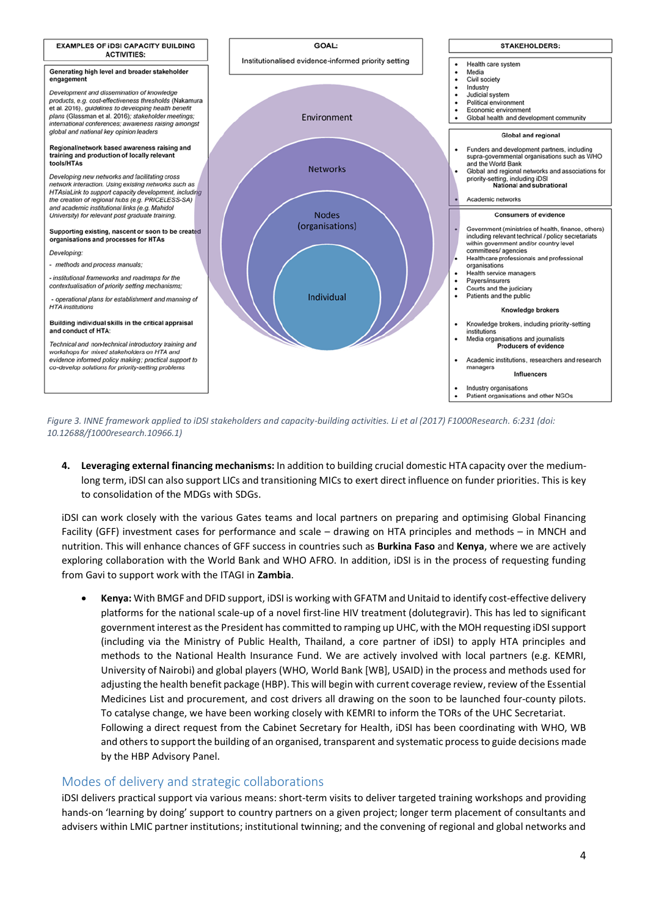

*Figure 3. INNE framework applied to iDSI stakeholders and capacity-building activities. Li et al (2017) F1000Research. 6:231 (doi: 10.12688/f1000research.10966.1)*

**4. Leveraging external financing mechanisms:** In addition to building crucial domestic HTA capacity over the mediumlong term, iDSI can also support LICs and transitioning MICs to exert direct influence on funder priorities. This is key to consolidation of the MDGs with SDGs.

iDSI can work closely with the various Gates teams and local partners on preparing and optimising Global Financing Facility (GFF) investment cases for performance and scale – drawing on HTA principles and methods – in MNCH and nutrition. This will enhance chances of GFF success in countries such as **Burkina Faso** and **Kenya**, where we are actively exploring collaboration with the World Bank and WHO AFRO. In addition, iDSI is in the process of requesting funding from Gavi to support work with the ITAGI in **Zambia**.

• **Kenya:** With BMGF and DFID support, iDSI is working with GFATM and Unitaid to identify cost-effective delivery platforms for the national scale-up of a novel first-line HIV treatment (dolutegravir). This has led to significant government interest as the President has committed to ramping up UHC, with the MOH requesting iDSI support (including via the Ministry of Public Health, Thailand, a core partner of iDSI) to apply HTA principles and methods to the National Health Insurance Fund. We are actively involved with local partners (e.g. KEMRI, University of Nairobi) and global players (WHO, World Bank [WB], USAID) in the process and methods used for adjusting the health benefit package (HBP). This will begin with current coverage review, review of the Essential Medicines List and procurement, and cost drivers all drawing on the soon to be launched four-county pilots. To catalyse change, we have been working closely with KEMRI to inform the TORs of the UHC Secretariat. Following a direct request from the Cabinet Secretary for Health, iDSI has been coordinating with WHO, WB and others to support the building of an organised, transparent and systematic process to guide decisions made by the HBP Advisory Panel.

### Modes of delivery and strategic collaborations

iDSI delivers practical support via various means: short-term visits to deliver targeted training workshops and providing hands-on 'learning by doing' support to country partners on a given project; longer term placement of consultants and advisers within LMIC partner institutions; institutional twinning; and the convening of regional and global networks and